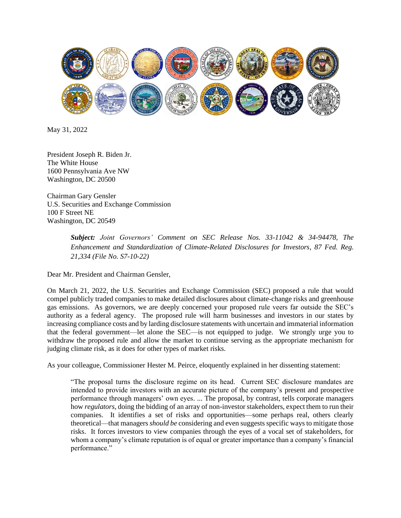

May 31, 2022

President Joseph R. Biden Jr. The White House 1600 Pennsylvania Ave NW Washington, DC 20500

Chairman Gary Gensler U.S. Securities and Exchange Commission 100 F Street NE Washington, DC 20549

> *Subject: Joint Governors' Comment on SEC Release Nos. 33-11042 & 34-94478, The Enhancement and Standardization of Climate-Related Disclosures for Investors, 87 Fed. Reg. 21,334 (File No. S7-10-22)*

Dear Mr. President and Chairman Gensler,

On March 21, 2022, the U.S. Securities and Exchange Commission (SEC) proposed a rule that would compel publicly traded companies to make detailed disclosures about climate-change risks and greenhouse gas emissions. As governors, we are deeply concerned your proposed rule veers far outside the SEC's authority as a federal agency. The proposed rule will harm businesses and investors in our states by increasing compliance costs and by larding disclosure statements with uncertain and immaterial information that the federal government—let alone the SEC—is not equipped to judge. We strongly urge you to withdraw the proposed rule and allow the market to continue serving as the appropriate mechanism for judging climate risk, as it does for other types of market risks.

As your colleague, Commissioner Hester M. Peirce, eloquently explained in her dissenting statement:

"The proposal turns the disclosure regime on its head. Current SEC disclosure mandates are intended to provide investors with an accurate picture of the company's present and prospective performance through managers' own eyes. ... The proposal, by contrast, tells corporate managers how *regulators*, doing the bidding of an array of non-investor stakeholders, expect them to run their companies. It identifies a set of risks and opportunities—some perhaps real, others clearly theoretical—that managers *should be* considering and even suggests specific ways to mitigate those risks. It forces investors to view companies through the eyes of a vocal set of stakeholders, for whom a company's climate reputation is of equal or greater importance than a company's financial performance."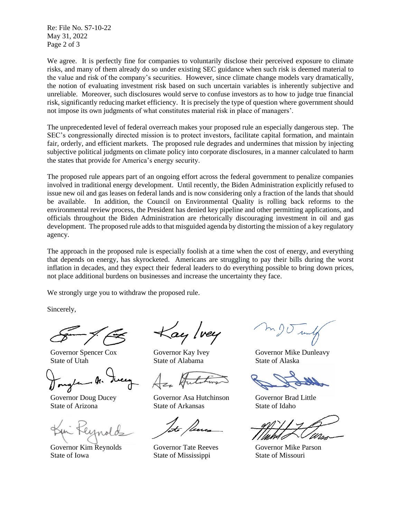Re: File No. S7-10-22 May 31, 2022 Page 2 of 3

We agree. It is perfectly fine for companies to voluntarily disclose their perceived exposure to climate risks, and many of them already do so under existing SEC guidance when such risk is deemed material to the value and risk of the company's securities. However, since climate change models vary dramatically, the notion of evaluating investment risk based on such uncertain variables is inherently subjective and unreliable. Moreover, such disclosures would serve to confuse investors as to how to judge true financial risk, significantly reducing market efficiency. It is precisely the type of question where government should not impose its own judgments of what constitutes material risk in place of managers'.

The unprecedented level of federal overreach makes your proposed rule an especially dangerous step. The SEC's congressionally directed mission is to protect investors, facilitate capital formation, and maintain fair, orderly, and efficient markets. The proposed rule degrades and undermines that mission by injecting subjective political judgments on climate policy into corporate disclosures, in a manner calculated to harm the states that provide for America's energy security.

The proposed rule appears part of an ongoing effort across the federal government to penalize companies involved in traditional energy development. Until recently, the Biden Administration explicitly refused to issue new oil and gas leases on federal lands and is now considering only a fraction of the lands that should be available. In addition, the Council on Environmental Quality is rolling back reforms to the environmental review process, the President has denied key pipeline and other permitting applications, and officials throughout the Biden Administration are rhetorically discouraging investment in oil and gas development. The proposed rule adds to that misguided agenda by distorting the mission of a key regulatory agency.

The approach in the proposed rule is especially foolish at a time when the cost of energy, and everything that depends on energy, has skyrocketed. Americans are struggling to pay their bills during the worst inflation in decades, and they expect their federal leaders to do everything possible to bring down prices, not place additional burdens on businesses and increase the uncertainty they face.

We strongly urge you to withdraw the proposed rule.

Sincerely,

Governor Spencer Cox State of Utah

Governor Doug Ducey State of Arizona

Governor Kim Reynolds State of Iowa

 $\kappa$ ay lvey

Governor Kay Ivey State of Alabama

Governor Asa Hutchinson State of Arkansas

Governor Tate Reeves State of Mississippi

Governor Mike Dunleavy State of Alaska

Governor Brad Little State of Idaho

Governor Mike Parson State of Missouri